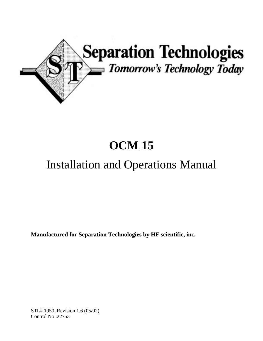

# **OCM 15**

## Installation and Operations Manual

**Manufactured for Separation Technologies by HF scientific, inc.** 

STL# 1050, Revision 1.6 (05/02) Control No. 22753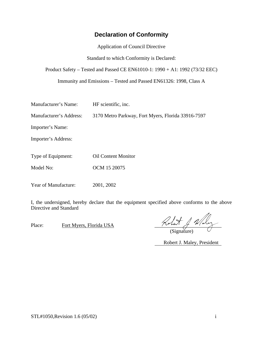#### **Declaration of Conformity**

Application of Council Directive

Standard to which Conformity is Declared:

Product Safety – Tested and Passed CE EN61010-1: 1990 + A1: 1992 (73/32 EEC)

Immunity and Emissions – Tested and Passed EN61326: 1998, Class A

| Manufacturer's Name:    | HF scientific, inc.                                |
|-------------------------|----------------------------------------------------|
| Manufacturer's Address: | 3170 Metro Parkway, Fort Myers, Florida 33916-7597 |
| Importer's Name:        |                                                    |
| Importer's Address:     |                                                    |
| Type of Equipment:      | <b>Oil Content Monitor</b>                         |
| Model No:               | OCM 15 20075                                       |
|                         |                                                    |

Year of Manufacture: 2001, 2002

I, the undersigned, hereby declare that the equipment specified above conforms to the above Directive and Standard

Place: Fort Myers, Florida USA  $\overline{P}$ 

(Signature)

Robert J. Maley, President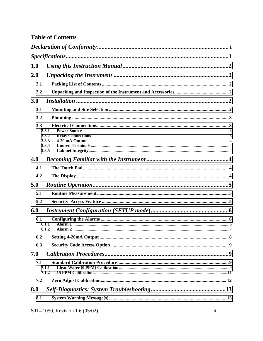| <b>Table of Contents</b> |  |
|--------------------------|--|
|--------------------------|--|

| 1.0 |                                           |  |
|-----|-------------------------------------------|--|
| 2.0 |                                           |  |
| 2.1 |                                           |  |
| 2.2 |                                           |  |
| 3.0 |                                           |  |
| 3.1 |                                           |  |
| 3.2 |                                           |  |
| 3.3 | 3.3.1<br>3.3.2<br>3.3.3<br>3.3.4<br>3.3.5 |  |
| 4.0 |                                           |  |
| 4.1 |                                           |  |
| 4.2 |                                           |  |
| 5.0 |                                           |  |
| 5.1 |                                           |  |
| 5.2 |                                           |  |
| 6.0 |                                           |  |
| 6.1 | 6.1.1<br>6.1.2                            |  |
|     |                                           |  |
| 6.3 |                                           |  |
| 7.0 |                                           |  |
| 7.1 | 7.1.1<br>7.1.2                            |  |
| 7.2 |                                           |  |
| 8.0 |                                           |  |
| 8.1 |                                           |  |
|     |                                           |  |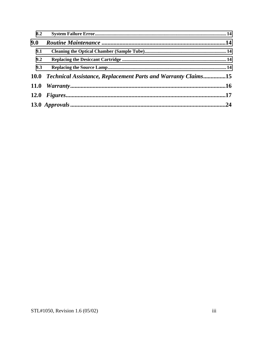| 8.2 |                                                                    |  |
|-----|--------------------------------------------------------------------|--|
| 9.0 |                                                                    |  |
| 9.1 |                                                                    |  |
| 9.2 |                                                                    |  |
| 9.3 |                                                                    |  |
|     | 10.0 Technical Assistance, Replacement Parts and Warranty Claims15 |  |
|     |                                                                    |  |
|     |                                                                    |  |
|     |                                                                    |  |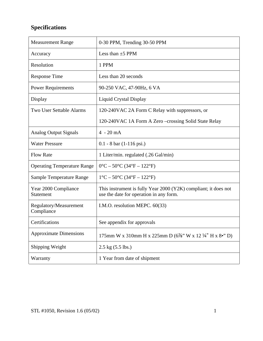### **Specifications**

| <b>Measurement Range</b>             | 0-30 PPM, Trending 30-50 PPM                                                                               |  |
|--------------------------------------|------------------------------------------------------------------------------------------------------------|--|
| Accuracy                             | Less than $\pm$ 5 PPM                                                                                      |  |
| Resolution                           | 1 PPM                                                                                                      |  |
| <b>Response Time</b>                 | Less than 20 seconds                                                                                       |  |
| <b>Power Requirements</b>            | 90-250 VAC, 47-90Hz, 6 VA                                                                                  |  |
| Display                              | Liquid Crystal Display                                                                                     |  |
| Two User Settable Alarms             | 120-240VAC 2A Form C Relay with suppressors, or                                                            |  |
|                                      | 120-240VAC 1A Form A Zero -crossing Solid State Relay                                                      |  |
| <b>Analog Output Signals</b>         | $4 - 20 \text{ mA}$                                                                                        |  |
| <b>Water Pressure</b>                | $0.1 - 8$ bar $(1-116$ psi.)                                                                               |  |
| <b>Flow Rate</b>                     | 1 Liter/min. regulated (.26 Gal/min)                                                                       |  |
| <b>Operating Temperature Range</b>   | $0^{\circ}$ C – 50°C (34°F – 122°F)                                                                        |  |
| <b>Sample Temperature Range</b>      | $1^{\circ}$ C – 50 $^{\circ}$ C (34 $^{\circ}$ F – 122 $^{\circ}$ F)                                       |  |
| Year 2000 Compliance<br>Statement    | This instrument is fully Year 2000 (Y2K) compliant; it does not<br>use the date for operation in any form. |  |
| Regulatory/Measurement<br>Compliance | I.M.O. resolution MEPC. 60(33)                                                                             |  |
| Certifications                       | See appendix for approvals                                                                                 |  |
| <b>Approximate Dimensions</b>        | 175mm W x 310mm H x 225mm D (6%" W x 12 ¼" H x 8•" D)                                                      |  |
| Shipping Weight                      | $2.5 \text{ kg} (5.5 \text{ lbs.})$                                                                        |  |
| Warranty                             | 1 Year from date of shipment                                                                               |  |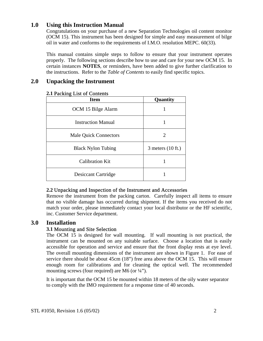#### <span id="page-7-0"></span>**1.0 Using this Instruction Manual**

Congratulations on your purchase of a new Separation Technologies oil content monitor (OCM 15). This instrument has been designed for simple and easy measurement of bilge oil in water and conforms to the requirements of I.M.O. resolution MEPC. 60(33).

This manual contains simple steps to follow to ensure that your instrument operates properly. The following sections describe how to use and care for your new OCM 15. In certain instances **NOTES**, or reminders, have been added to give further clarification to the instructions. Refer to the *Table of Contents* to easily find specific topics.

#### **2.0 Unpacking the Instrument**

| <b>Item</b>                  | Quantity                    |
|------------------------------|-----------------------------|
| OCM 15 Bilge Alarm           |                             |
| <b>Instruction Manual</b>    |                             |
| <b>Male Quick Connectors</b> | 2                           |
| <b>Black Nylon Tubing</b>    | 3 meters $(10 \text{ ft.})$ |
| Calibration Kit              |                             |
| <b>Desiccant Cartridge</b>   |                             |

#### **2.1** Packing List of Contents

#### **2.2** Unpacking and Inspection of the Instrument and Accessories

Remove the instrument from the packing carton. Carefully inspect all items to ensure that no visible damage has occurred during shipment. If the items you received do not match your order, please immediately contact your local distributor or the HF scientific, inc. Customer Service department.

#### **3.0 Installation**

#### **3.1** Mounting and Site Selection

The OCM 15 is designed for wall mounting. If wall mounting is not practical, the instrument can be mounted on any suitable surface. Choose a location that is easily accessible for operation and service and ensure that the front display rests at eye level. The overall mounting dimensions of the instrument are shown in Figure 1. For ease of service there should be about 45cm (18") free area above the OCM 15. This will ensure enough room for calibrations and for cleaning the optical well. The recommended mounting screws (four required) are M6 (or  $\frac{1}{4}$ ").

It is important that the OCM 15 be mounted within 18 meters of the oily water separator to comply with the IMO requirement for a response time of 40 seconds.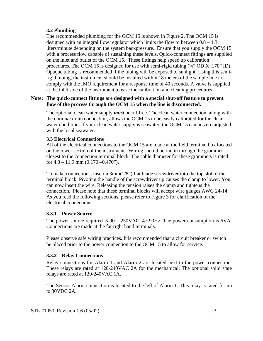#### <span id="page-8-0"></span>**3.2 Plumbing**

The recommended plumbing for the OCM 15 is shown in Figure 2. The OCM 15 is designed with an integral flow regulator which limits the flow to between  $0.8 - 1.3$ liters/minute depending on the system backpressure. Ensure that you supply the OCM 15 with a process flow capable of sustaining these levels. Quick-connect fittings are supplied on the inlet and outlet of the OCM 15. These fittings help speed up calibration procedures. The OCM 15 is designed for use with semi-rigid tubing  $(\frac{1}{4}$ " OD X .170" ID). Opaque tubing is recommended if the tubing will be exposed to sunlight. Using this semirigid tubing, the instrument should be installed within 18 meters of the sample line to comply with the IMO requirement for a response time of 40 seconds. A valve is supplied at the inlet side of the instrument to ease the calibration and cleaning procedures.

#### **Note: The quick-connect fittings are designed with a special shut-off feature to prevent flow of the process through the OCM 15 when the line is disconnected.**

The optional clean water supply *must* be oil-free. The clean water connection, along with the optional drain connection, allows the OCM 15 to be easily calibrated for the clean water condition. If your clean water supply is seawater, the OCM 15 can be zero adjusted with the local seawater.

#### **3.3 Electrical Connections**

All of the electrical connections to the OCM 15 are made at the field terminal box located on the lower section of the instrument. Wiring should be run in through the grommet closest to the connection terminal block. The cable diameter for these grommets is rated for  $4.3 - 11.9$  mm  $(0.170 - 0.470)$ .

To make connections, insert a 3mm(1/8") flat blade screwdriver into the top slot of the terminal block. Pivoting the handle of the screwdriver up causes the clamp to lower. You can now insert the wire. Releasing the tension raises the clamp and tightens the connection. Please note that these terminal blocks will accept wire gauges AWG 24-14. As you read the following sections, please refer to Figure 3 for clarification of the electrical connections.

#### **3.3.1 Power Source**

The power source required is 90 – 250VAC, 47-90Hz. The power consumption is 6VA. Connections are made at the far right hand terminals.

Please observe safe wiring practices. It is recommended that a circuit breaker or switch be placed prior to the power connection to the OCM 15 to allow for service.

#### **3.3.2 Relay Connections**

Relay connections for Alarm 1 and Alarm 2 are located next to the power connection. These relays are rated at 120-240VAC 2A for the mechanical. The optional solid state relays are rated at 120-240VAC 1A.

The Sensor Alarm connection is located to the left of Alarm 1. This relay is rated for up to 30VDC 2A.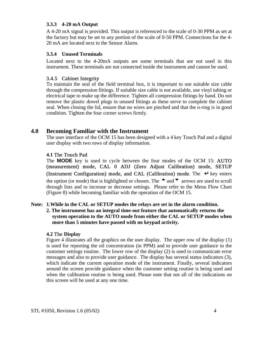#### <span id="page-9-0"></span>**3.3.3 4-20 mA Output**

A 4-20 mA signal is provided. This output is referenced to the scale of 0-30 PPM as set at the factory but may be set to any portion of the scale of 0-50 PPM. Connections for the 4- 20 mA are located next to the Sensor Alarm.

#### **3.3.4 Unused Terminals**

Located next to the 4-20mA outputs are some terminals that are not used in this instrument. These terminals are not connected inside the instrument and cannot be used.

#### 3.4.5 Cabinet Integrity

To maintain the seal of the field terminal box, it is important to use suitable size cable through the compression fittings. If suitable size cable is not available, use vinyl tubing or electrical tape to make up the difference. Tighten all compression fittings by hand. Do not remove the plastic dowel plugs in unused fittings as these serve to complete the cabinet seal. When closing the lid, ensure that no wires are pinched and that the o-ring is in good condition. Tighten the four corner screws firmly.

#### **4.0 Becoming Familiar with the Instrument**

The user interface of the OCM 15 has been designed with a 4 key Touch Pad and a digital user display with two rows of display information.

#### **4.1** The Touch Pad

The **MODE** key is used to cycle between the four modes of the OCM 15: AUTO (measurement) mode, CAL 0 ADJ (Zero Adjust Calibration) mode, SETUP (Instrument Configuration) mode, and CAL (Calibration) mode. The ↵ key enters the option (or mode) that is highlighted or chosen. The  $\triangle$  and  $\blacktriangledown$  arrows are used to scroll through lists and to increase or decrease settings. Please refer to the Menu Flow Chart (Figure 8) while becoming familiar with the operation of the OCM 15.

#### **Note: 1.While in the CAL or SETUP modes the relays are set in the alarm condition.**

**2. The instrument has an integral time-out feature that automatically returns the system operation to the AUTO mode from either the CAL or SETUP modes when more than 5 minutes have passed with no keypad activity.** 

#### **4.2** The **Display**

Figure 4 illustrates all the graphics on the user display. The upper row of the display (1) is used for reporting the oil concentration (in PPM) and to provide user guidance in the customer settings routine. The lower row of the display (2) is used to communicate error messages and also to provide user guidance. The display has several status indicators (3), which indicate the current operation mode of the instrument. Finally, several indicators around the screen provide guidance when the customer setting routine is being used and when the calibration routine is being used. Please note that not all of the indications on this screen will be used at any one time.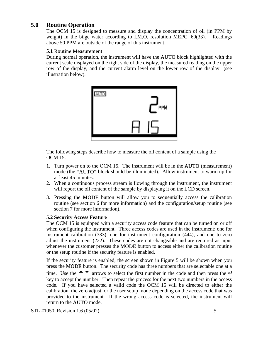#### <span id="page-10-0"></span>**5.0 Routine Operation**

The OCM 15 is designed to measure and display the concentration of oil (in PPM by weight) in the bilge water according to I.M.O. resolution MEPC. 60(33). Readings above 50 PPM are outside of the range of this instrument.

#### **5.1** Routine Measurement

During normal operation, the instrument will have the AUTO block highlighted with the current scale displayed on the right side of the display, the measured reading on the upper row of the display, and the current alarm level on the lower row of the display (see illustration below).



The following steps describe how to measure the oil content of a sample using the OCM 15:

- 1. Turn power on to the OCM 15. The instrument will be in the AUTO (measurement) mode (the "AUTO" block should be illuminated). Allow instrument to warm up for at least 45 minutes.
- 2. When a continuous process stream is flowing through the instrument, the instrument will report the oil content of the sample by displaying it on the LCD screen.
- 3. Pressing the MODE button will allow you to sequentially access the calibration routine (see section 6 for more information) and the configuration/setup routine (see section 7 for more information).

#### **5.2 Security Access Feature**

The OCM 15 is equipped with a security access code feature that can be turned on or off when configuring the instrument. Three access codes are used in the instrument: one for instrument calibration (333), one for instrument configuration (444), and one to zero adjust the instrument (222). These codes are not changeable and are required as input whenever the customer presses the **MODE** button to access either the calibration routine or the setup routine if the security feature is enabled.

If the security feature is enabled, the screen shown in Figure 5 will be shown when you press the **MODE** button. The security code has three numbers that are selectable one at a time. Use the  $\triangle$   $\blacktriangledown$  arrows to select the first number in the code and then press the ↵ key to accept the number. Then repeat the process for the next two numbers in the access code. If you have selected a valid code the OCM 15 will be directed to either the calibration, the zero adjust, or the user setup mode depending on the access code that was provided to the instrument. If the wrong access code is selected, the instrument will return to the AUTO mode.

STL #1050, Revision 1.6 (05/02) 5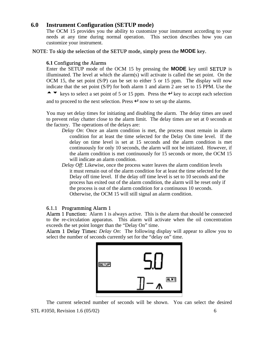#### <span id="page-11-0"></span>**6.0 Instrument Configuration (SETUP mode)**

The OCM 15 provides you the ability to customize your instrument according to your needs at any time during normal operation. This section describes how you can customize your instrument.

#### NOTE: To skip the selection of the SETUP mode, simply press the **MODE** key.

#### **6.1** Configuring the Alarms

Enter the SETUP mode of the OCM 15 by pressing the **MODE** key until SETUP is illuminated. The level at which the alarm(s) will activate is called the set point. On the OCM 15, the set point (S/P) can be set to either 5 or 15 ppm. The display will now indicate that the set point (S/P) for both alarm 1 and alarm 2 are set to 15 PPM. Use the **★ ▼** keys to select a set point of 5 or 15 ppm. Press the  $\perp$  key to accept each selection

and to proceed to the next selection. Press  $\downarrow$  now to set up the alarms.

You may set delay times for initiating and disabling the alarm. The delay times are used to prevent relay chatter close to the alarm limit. The delay times are set at 0 seconds at the factory. The operations of the delays are:

- *Delay On*: Once an alarm condition is met, the process must remain in alarm condition for at least the time selected for the Delay On time level. If the delay on time level is set at 15 seconds and the alarm condition is met continuously for only 10 seconds, the alarm will not be initiated. However, if the alarm condition is met continuously for 15 seconds or more, the OCM 15 will indicate an alarm condition.
- *Delay Off*: Likewise, once the process water leaves the alarm condition levels it must remain out of the alarm condition for at least the time selected for the Delay off time level. If the delay off time level is set to 10 seconds and the process has exited out of the alarm condition, the alarm will be reset only if the process is out of the alarm condition for a continuous 10 seconds. Otherwise, the OCM 15 will still signal an alarm condition.

#### 6.1.1 Programming Alarm 1

Alarm 1 Function: Alarm 1 is always active. This is the alarm that should be connected to the re-circulation apparatus. This alarm will activate when the oil concentration exceeds the set point longer than the "Delay On" time.

Alarm 1 Delay Times: *Delay On*: The following display will appear to allow you to select the number of seconds currently set for the "delay on" time.



STL #1050, Revision 1.6 (05/02) 6 The current selected number of seconds will be shown. You can select the desired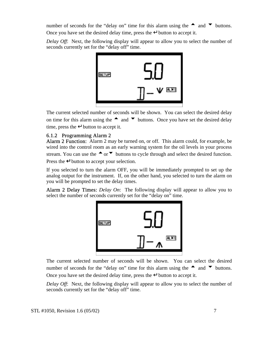number of seconds for the "delay on" time for this alarm using the  $\triangle$  and  $\nabla$  buttons. Once you have set the desired delay time, press the  $\downarrow$  button to accept it.

*Delay Off*: Next, the following display will appear to allow you to select the number of seconds currently set for the "delay off" time.



The current selected number of seconds will be shown. You can select the desired delay on time for this alarm using the  $\bullet$  and  $\bullet$  buttons. Once you have set the desired delay time, press the  $\downarrow$  button to accept it.

#### 6.1.2 Programming Alarm 2

Alarm 2 Function: Alarm 2 may be turned on, or off. This alarm could, for example, be wired into the control room as an early warning system for the oil levels in your process stream. You can use the  $\uparrow$  or  $\uparrow$  buttons to cycle through and select the desired function. Press the  $\downarrow$  button to accept your selection.

If you selected to turn the alarm OFF, you will be immediately prompted to set up the analog output for the instrument. If, on the other hand, you selected to turn the alarm on you will be prompted to set the delay times.

Alarm 2 Delay Times: *Delay On*: The following display will appear to allow you to select the number of seconds currently set for the "delay on" time.



The current selected number of seconds will be shown. You can select the desired number of seconds for the "delay on" time for this alarm using the  $\triangle$  and  $\nabla$  buttons. Once you have set the desired delay time, press the  $\downarrow$  button to accept it.

*Delay Off*: Next, the following display will appear to allow you to select the number of seconds currently set for the "delay off" time.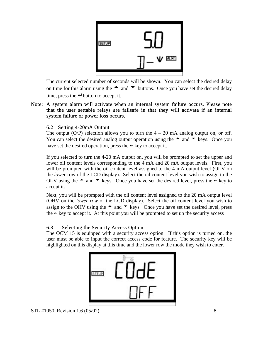

The current selected number of seconds will be shown. You can select the desired delay on time for this alarm using the  $\bullet$  and  $\bullet$  buttons. Once you have set the desired delay time, press the  $\downarrow$  button to accept it.

Note: A system alarm will activate when an internal system failure occurs. Please note that the user settable relays are failsafe in that they will activate if an internal system failure or power loss occurs.

#### 6.2 Setting 4-20mA Output

The output  $(O/P)$  selection allows you to turn the  $4 - 20$  mA analog output on, or off. You can select the desired analog output operation using the  $\triangle$  and  $\nabla$  keys. Once you have set the desired operation, press the  $\perp$  key to accept it.

If you selected to turn the 4-20 mA output on, you will be prompted to set the upper and lower oil content levels corresponding to the 4 mA and 20 mA output levels. First, you will be prompted with the oil content level assigned to the 4 mA output level (OLV on the *lower* row of the LCD display). Select the oil content level you wish to assign to the OLV using the  $\triangle$  and  $\triangledown$  keys. Once you have set the desired level, press the ↵ key to accept it.

Next, you will be prompted with the oil content level assigned to the 20 mA output level (OHV on the *lower row* of the LCD display). Select the oil content level you wish to assign to the OHV using the  $\triangle$  and  $\blacktriangledown$  keys. Once you have set the desired level, press the  $\downarrow$  key to accept it. At this point you will be prompted to set up the security access

#### 6.3 Selecting the Security Access Option

The OCM 15 is equipped with a security access option. If this option is turned on, the user must be able to input the correct access code for feature. The security key will be highlighted on this display at this time and the lower row the mode they wish to enter.

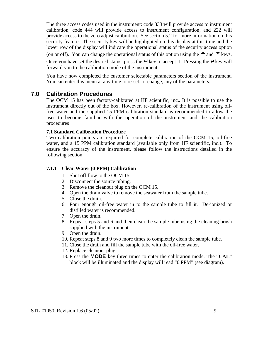<span id="page-14-0"></span>The three access codes used in the instrument: code 333 will provide access to instrument calibration, code 444 will provide access to instrument configuration, and 222 will provide access to the zero adjust calibration. See section 5.2 for more information on this security feature. The security key will be highlighted on this display at this time and the lower row of the display will indicate the operational status of the security access option (on or off). You can change the operational status of this option using the  $\triangle$  and  $\nabla$  keys. Once you have set the desired status, press the  $\downarrow$  key to accept it. Pressing the  $\downarrow$  key will forward you to the calibration mode of the instrument.

You have now completed the customer selectable parameters section of the instrument. You can enter this menu at any time to re-set, or change, any of the parameters.

#### **7.0 Calibration Procedures**

The OCM 15 has been factory-calibrated at HF scientific, inc.. It is possible to use the instrument directly out of the box. However, re-calibration of the instrument using oilfree water and the supplied 15 PPM calibration standard is recommended to allow the user to become familiar with the operation of the instrument and the calibration procedures

#### **7.1 Standard Calibration Procedure**

Two calibration points are required for complete calibration of the OCM 15; oil-free water, and a 15 PPM calibration standard (available only from HF scientific, inc.). To ensure the accuracy of the instrument, please follow the instructions detailed in the following section.

#### **7.1.1 Clear Water (0 PPM) Calibration**

- 1. Shut off flow to the OCM 15.
- 2. Disconnect the source tubing.
- 3. Remove the cleanout plug on the OCM 15.
- 4. Open the drain valve to remove the seawater from the sample tube.
- 5. Close the drain.
- 6. Pour enough oil-free water in to the sample tube to fill it. De-ionized or distilled water is recommended.
- 7. Open the drain.
- 8. Repeat steps 5 and 6 and then clean the sample tube using the cleaning brush supplied with the instrument.
- 9. Open the drain.
- 10. Repeat steps 8 and 9 two more times to completely clean the sample tube.
- 11. Close the drain and fill the sample tube with the oil-free water.
- 12. Replace cleanout plug.
- 13. Press the **MODE** key three times to enter the calibration mode. The "**CAL**" block will be illuminated and the display will read "0 PPM" (see diagram).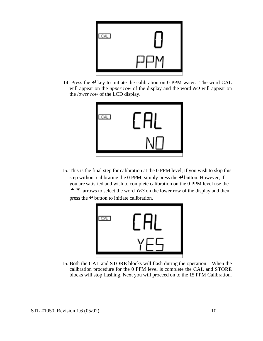

14. Press the  $\Box$  key to initiate the calibration on 0 PPM water. The word CAL will appear on the *upper row* of the display and the word *NO* will appear on the *lower row* of the LCD display.



15. This is the final step for calibration at the 0 PPM level; if you wish to skip this step without calibrating the 0 PPM, simply press the  $\downarrow$  button. However, if you are satisfied and wish to complete calibration on the 0 PPM level use the  $\blacktriangleright$  arrows to select the word *YES* on the lower row of the display and then press the ↵ button to initiate calibration.



16. Both the CAL and STORE blocks will flash during the operation. When the calibration procedure for the 0 PPM level is complete the CAL and STORE blocks will stop flashing. Next you will proceed on to the 15 PPM Calibration.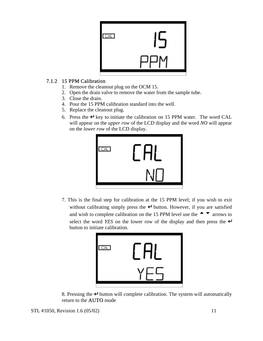

#### 7.1.2 15 PPM Calibration

- 1. Remove the cleanout plug on the OCM 15.
- 2. Open the drain valve to remove the water from the sample tube.
- 3. Close the drain.
- 4. Pour the 15 PPM calibration standard into the well.
- 5. Replace the cleanout plug.
- 6. Press the  $\downarrow$  key to initiate the calibration on 15 PPM water. The word CAL will appear on the *upper row* of the LCD display and the word *NO* will appear on the *lower row* of the LCD display.



7. This is the final step for calibration at the 15 PPM level; if you wish to exit without calibrating simply press the  $\downarrow$  button. However, if you are satisfied and wish to complete calibration on the 15 PPM level use the  $\triangle$   $\blacktriangledown$  arrows to select the word *YES* on the lower row of the display and then press the ↵ button to initiate calibration.



8. Pressing the ↵ button will complete calibration. The system will automatically return to the AUTO mode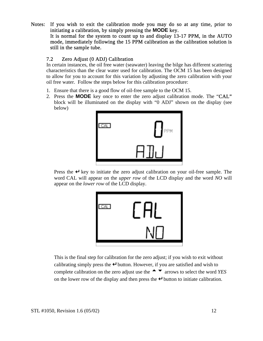Notes: If you wish to exit the calibration mode you may do so at any time, prior to initiating a calibration, by simply pressing the **MODE** key. It is normal for the system to count up to and display 13-17 PPM, in the AUTO mode, immediately following the 15 PPM calibration as the calibration solution is still in the sample tube.

#### 7.2 Zero Adjust (0 ADJ) Calibration

In certain instances, the oil free water (seawater) leaving the bilge has different scattering characteristics than the clear water used for calibration. The OCM 15 has been designed to allow for you to account for this variation by adjusting the zero calibration with your oil free water. Follow the steps below for this calibration procedure:

- 1. Ensure that there is a good flow of oil-free sample to the OCM 15.
- 2. Press the **MODE** key once to enter the zero adjust calibration mode. The "CAL" block will be illuminated on the display with "0 ADJ" shown on the display (see below)



Press the  $\downarrow$  key to initiate the zero adjust calibration on your oil-free sample. The word CAL will appear on the *upper row* of the LCD display and the word *NO* will appear on the *lower row* of the LCD display.



This is the final step for calibration for the zero adjust; if you wish to exit without calibrating simply press the ↵ button. However, if you are satisfied and wish to complete calibration on the zero adjust use the  $\rightarrow \infty$  arrows to select the word *YES* on the lower row of the display and then press the  $\downarrow$  button to initiate calibration.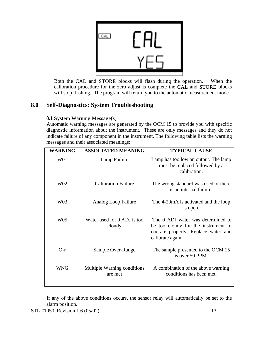<span id="page-18-0"></span>

Both the CAL and STORE blocks will flash during the operation. When the calibration procedure for the zero adjust is complete the CAL and STORE blocks will stop flashing. The program will return you to the automatic measurement mode.

#### **8.0 Self-Diagnostics: System Troubleshooting**

#### **8.1** System Warning Message(s)

Automatic warning messages are generated by the OCM 15 to provide you with specific diagnostic information about the instrument. These are only messages and they do not indicate failure of any component in the instrument. The following table lists the warning messages and their associated meanings:

| <b>WARNING</b>  | <b>ASSOCIATED MEANING</b>              | <b>TYPICAL CAUSE</b>                                                                                                                |  |
|-----------------|----------------------------------------|-------------------------------------------------------------------------------------------------------------------------------------|--|
| W01             | Lamp Failure                           | Lamp has too low an output. The lamp<br>must be replaced followed by a<br>calibration.                                              |  |
| W <sub>02</sub> | <b>Calibration Failure</b>             | The wrong standard was used or there<br>is an internal failure.                                                                     |  |
| W03             | Analog Loop Failure                    | The 4-20mA is activated and the loop<br>is open.                                                                                    |  |
| W <sub>05</sub> | Water used for 0 ADJ is too<br>cloudy  | The 0 ADJ water was determined to<br>be too cloudy for the instrument to<br>operate properly. Replace water and<br>calibrate again. |  |
| $O-r$           | Sample Over-Range                      | The sample presented to the OCM 15<br>is over 50 PPM.                                                                               |  |
| <b>WNG</b>      | Multiple Warning conditions<br>are met | A combination of the above warning<br>conditions has been met.                                                                      |  |

If any of the above conditions occurs, the sensor relay will automatically be set to the alarm position.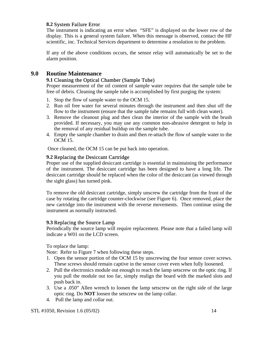#### <span id="page-19-0"></span>**8.2** System Failure Error

The instrument is indicating an error when "SFE" is displayed on the lower row of the display. This is a general system failure. When this message is observed, contact the HF scientific, inc. Technical Services department to determine a resolution to the problem.

If any of the above conditions occurs, the sensor relay will automatically be set to the alarm position.

#### **9.0 Routine Maintenance**

#### **9.1** Cleaning the Optical Chamber (Sample Tube)

Proper measurement of the oil content of sample water requires that the sample tube be free of debris. Cleaning the sample tube is accomplished by first purging the system:

- 1. Stop the flow of sample water to the OCM 15.
- 2. Run oil free water for several minutes through the instrument and then shut off the flow to the instrument (ensure that the sample tube remains full with clean water).
- 3. Remove the cleanout plug and then clean the interior of the sample with the brush provided. If necessary, you may use any common non-abrasive detergent to help in the removal of any residual buildup on the sample tube.
- 4. Empty the sample chamber to drain and then re-attach the flow of sample water to the OCM 15.

Once cleaned, the OCM 15 can be put back into operation.

#### **9.2** Replacing the Desiccant Cartridge

Proper use of the supplied desiccant cartridge is essential in maintaining the performance of the instrument. The desiccant cartridge has been designed to have a long life. The desiccant cartridge should be replaced when the color of the desiccant (as viewed through the sight glass) has turned pink.

To remove the old desiccant cartridge, simply unscrew the cartridge from the front of the case by rotating the cartridge counter-clockwise (see Figure 6). Once removed, place the new cartridge into the instrument with the reverse movements. Then continue using the instrument as normally instructed.

#### **9.3** Replacing the Source Lamp

Periodically the source lamp will require replacement. Please note that a failed lamp will indicate a W01 on the LCD screen.

To replace the lamp:

Note: Refer to Figure 7 when following these steps.

- 1. Open the sensor portion of the OCM 15 by unscrewing the four sensor cover screws. These screws should remain captive in the sensor cover even when fully loosened.
- 2. Pull the electronics module out enough to reach the lamp setscrew on the optic ring. If you pull the module out too far, simply realign the board with the marked slots and push back in.
- 3. Use a .050" Allen wrench to loosen the lamp setscrew on the right side of the large optic ring. Do **NOT** loosen the setscrew on the lamp collar.
- 4. Pull the lamp and collar out.

STL #1050, Revision 1.6 (05/02) 14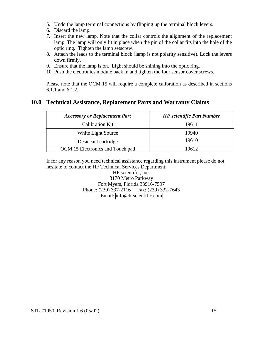- 5. Undo the lamp terminal connections by flipping up the terminal block levers.
- 6. Discard the lamp.
- 7. Insert the new lamp. Note that the collar controls the alignment of the replacement lamp. The lamp will only fit in place when the pin of the collar fits into the hole of the optic ring. Tighten the lamp setscrew.
- 8. Attach the leads to the terminal block (lamp is not polarity sensitive). Lock the levers down firmly.
- 9. Ensure that the lamp is on. Light should be shining into the optic ring.
- 10. Push the electronics module back in and tighten the four sensor cover screws.

Please note that the OCM 15 will require a complete calibration as described in sections 6.1.1 and 6.1.2.

#### **10.0 Technical Assistance, Replacement Parts and Warranty Claims**

| <b>Accessory or Replacement Part</b> | <b>HF</b> scientific Part Number |  |
|--------------------------------------|----------------------------------|--|
| Calibration Kit                      | 19611                            |  |
| White Light Source                   | 19940                            |  |
| Desiccant cartridge                  | 19610                            |  |
| OCM 15 Electronics and Touch pad     | 19612                            |  |

If for any reason you need technical assistance regarding this instrument please do not hesitate to contact the HF Technical Services Department:

> HF scientific, inc. 3170 Metro Parkway Fort Myers, Florida 33916-7597 Phone: (239) 337-2116 Fax: (239) 332-7643 Email: [info@hfscientific.com](mailto:info@hfscientific.com)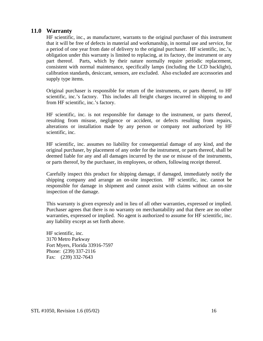#### **11.0 Warranty**

HF scientific, inc., as manufacturer, warrants to the original purchaser of this instrument that it will be free of defects in material and workmanship, in normal use and service, for a period of one year from date of delivery to the original purchaser. HF scientific, inc.'s, obligation under this warranty is limited to replacing, at its factory, the instrument or any part thereof. Parts, which by their nature normally require periodic replacement, consistent with normal maintenance, specifically lamps (including the LCD backlight), calibration standards, desiccant, sensors, are excluded. Also excluded are accessories and supply type items.

Original purchaser is responsible for return of the instruments, or parts thereof, to HF scientific, inc.'s factory. This includes all freight charges incurred in shipping to and from HF scientific, inc.'s factory.

HF scientific, inc. is not responsible for damage to the instrument, or parts thereof, resulting from misuse, negligence or accident, or defects resulting from repairs, alterations or installation made by any person or company not authorized by HF scientific, inc.

HF scientific, inc. assumes no liability for consequential damage of any kind, and the original purchaser, by placement of any order for the instrument, or parts thereof, shall be deemed liable for any and all damages incurred by the use or misuse of the instruments, or parts thereof, by the purchaser, its employees, or others, following receipt thereof.

Carefully inspect this product for shipping damage, if damaged, immediately notify the shipping company and arrange an on-site inspection. HF scientific, inc. cannot be responsible for damage in shipment and cannot assist with claims without an on-site inspection of the damage.

This warranty is given expressly and in lieu of all other warranties, expressed or implied. Purchaser agrees that there is no warranty on merchantability and that there are no other warranties, expressed or implied. No agent is authorized to assume for HF scientific, inc. any liability except as set forth above.

HF scientific, inc. 3170 Metro Parkway Fort Myers, Florida 33916-7597 Phone: (239) 337-2116 Fax: (239) 332-7643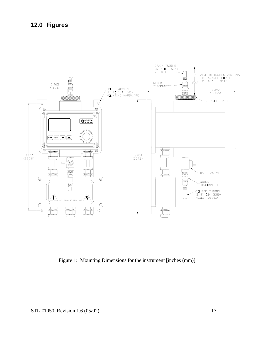### **12.0 Figures**



Figure 1: Mounting Dimensions for the instrument [inches (mm)]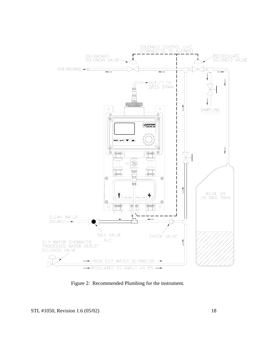

Figure 2: Recommended Plumbing for the instrument.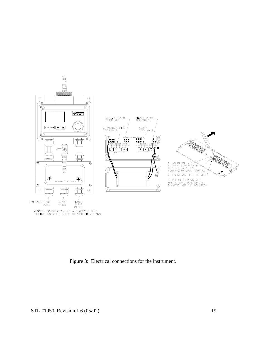

Figure 3: Electrical connections for the instrument.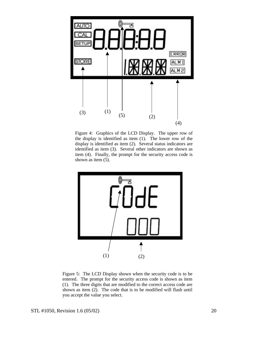

Figure 4: Graphics of the LCD Display. The upper row of the display is identified as item (1). The lower row of the display is identified as item (2). Several status indicators are identified as item (3). Several other indicators are shown as item (4). Finally, the prompt for the security access code is shown as item (5).



Figure 5: The LCD Display shown when the security code is to be entered. The prompt for the security access code is shown as item (1). The three digits that are modified to the correct access code are shown as item (2). The code that is to be modified will flash until you accept the value you select.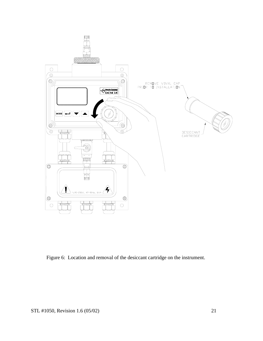

Figure 6: Location and removal of the desiccant cartridge on the instrument.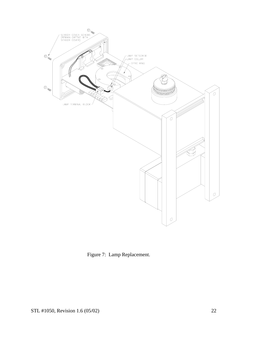

Figure 7: Lamp Replacement.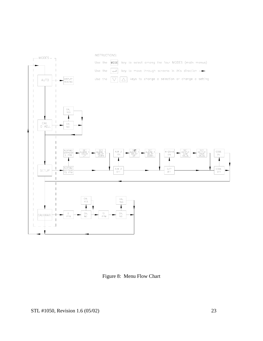

Figure 8: Menu Flow Chart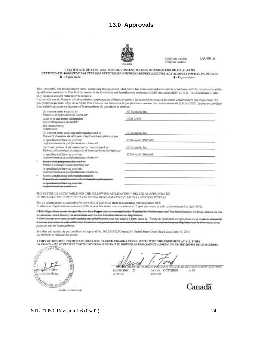#### 13.0 Approvals

![](_page_29_Picture_1.jpeg)

Certificate number Certifical monéro

BA-0016

|                | CERTIFICATE OF TYPE TEST FOR OIL CONTENT METERS INTENDED FOR BILGE ALARMS                            |
|----------------|------------------------------------------------------------------------------------------------------|
|                | CERTIFICAT D'AGRÉMENT PAR TYPE DES DÉTECTEURS D'HYDROCARBURES DESTINES AUX ALARMES POUR EAUX DE CALE |
| A-15 ppm alarm | $R - 15$ ppm alarms                                                                                  |

This is to certify that the oil content meter, comprising the equipment listed, below has been examined and tested in accordance with the requirements of the Specification contained in Part II of the Annex to the Guidelines and Specifications contained in IMO resolution MEPC 60 (33). This Certificate is valid only for an oil content meter referred to below.

Il est certibé que le détecteur d'hydrocarbares comprenant les élèments ci-après a été examiné et soumis à des essais conformément aux dispositions des spécifications qui font l'objet de la Partie II de l'amene aux Directives et spécifications contenue dans la résolution 60 (33) de l'OMI. Le présent cartificat n'est volable que pour un détecteur d'hydrocarbures du type décrit ci-dessous:

| Oil content meter supplied by<br>Détecteur d'Aydrocarbares foarni par                                                      | HF Scientific Inc.    |
|----------------------------------------------------------------------------------------------------------------------------|-----------------------|
| under type and model designation<br>type et désignation du modèle:                                                         | OCM-20075             |
| and incorporating:<br>comprenant:                                                                                          |                       |
| Oil contest steter analysing unit manufactured by<br>Dispositif d'avaiste du détecteur d'indrocarbures fabriqué par        | HF Scientific Inc.    |
| to specification/drawing numbers<br>conformément à la apécification/au schéme n <sup>o</sup>                               | 22540-A-01 (99/05/03) |
| Electronic section of oil content meter manufactured by<br>Eléments électronique du détecteur d'Indrocarbares fabriqué par | HF Scientific Inc.    |
| to specification/drawing numbers<br>on tanjormalne utivalitzation il i inversione anche                                    | 22540-A-03 (99/05/03) |
| Sample feed pursp-manufactured by<br>Mampa d'échantilonnape labriqué par                                                   |                       |
| in coordination drawing austhora<br>nanformément à la mobilization au celebra a                                            |                       |
| Sample-conditioning-unit-manufactured-by<br>Dispariti de conditionsament de l'échautilier fabri                            |                       |
| in openification drawing questure<br>make bureau feminist saw structures are                                               |                       |

THE SYSTEM IS ACCEPTABLE FOR THE FOLLOWING APPLICATION (\* DELETE AS APPROPRIATE) LE DISPOSITIF EST CONÇU POUR LES UTILISATIONS SUIVANTES (\* RATER LA MENTION INUTILE)

The oil content meter is acceptable for use with a 15 ppm bilge alarm in accordance with regulation 16(5).

Le ditacteur d'hydrocarbures est acceptable et peut âtre utilisé avec une alarme à 13 ppm pour eaux de cale conformément à la règle 16(3).

\* This Bilge Alans meets the specification for a 5 ppm unit, as contained in the "Standard for Performance and Test Specifications for Bilge Alans: for Use in Consolien Intend Waters," in accordance with the Oil Pollution Prevention Regulations.

<sup>8</sup>-Cotto-alarmo-pour-oaser do-ealo-satisfait-aux-spécifications-pour-une-unité à 5 ppm-seins moni eni andottivattono d'essato de altacazitti d'alorme pour aque de cale attitués sur les navires naviguant dans les sous inté eorgormiment av Rigionson sor la Frévention de la pollution par les hydrocarbares.

Test date and results As per certificate of approval No. 162.050/3025/0 issued by United States Coast Guard dated June 16, 2004. Les données et résultats des essais:

A COPY OF THIS TEST CERTIFICATE SHOULD BE CARRIED ABOARD A VESSEL FITTED WITH THIS EQUIPMENT AT ALL TIMES UN EXEMPLAIRE DU PRÉSENT CERTIFICAT D'ESSAIS DEVRAIT SE TROUVER EN PERMANENCE A BORD D'UN NAVIRE ÉQUIPÉ DE CE MATÉRIEL

![](_page_29_Picture_15.jpeg)

0 OF AUTHORIZED INFECTOR / SIGNATURE DE L'INSPECTEUR AUTORISE/ АтГш DATED THIS 21 DAY OF OCTOBER

**JOUR DE** 

**DATE CE** 

19 99

Canadä

#### STL #1050, Revision 1.6 (05/02)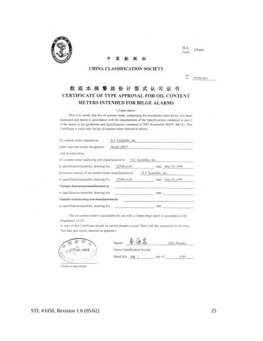![](_page_30_Picture_0.jpeg)

CHINA CLASSIFICATION SOCIETY

銀江 BJT99619012

CP165

格式

Form

#### 舱底水报警油份计型式认可证书 CERTIFICATE OF TYPE APPROVAL FOR OIL CONTENT METERS INTENDED FOR BILGE ALARMS

#### (15ppm alarm.)

This is to certify that the oil content meter, comprising the equipment listed below, has been examined and tested in accordance with the requirements of the Specifications contained in part 2 of the annex to the guidelines and Specifications contained in IMO Resolution MEPC 60(33). This Certificate is valid only for an oil content meter referred to below.

| Oil content meter supplied by                                          | H.F. Scientific, Inc. |                       |                  |
|------------------------------------------------------------------------|-----------------------|-----------------------|------------------|
| under type and model designation                                       | Model 20075           |                       |                  |
| and incorporating:                                                     |                       |                       |                  |
| Oil content meter analysing unit manufactured by H.F. Scientific, Inc. |                       |                       |                  |
| to specification/assembly drawing No. 22540-A-01                       |                       |                       | date May 03,1999 |
| Electronic section of oil content meter manufactured by                |                       | H.F. Scientific, Inc. |                  |
| to specification/assembly drawing No.                                  | 22540-A-03            |                       | date May 03,1999 |
| *Sample feed-pump-manufactured-by                                      |                       |                       |                  |
| to specification/assembly drawing No.                                  |                       | date                  |                  |
| <sup>2</sup> Sample conditioning unit manufactured by                  |                       |                       |                  |
| to specification/assembly drawing No.                                  |                       | date                  |                  |

The oil content meter is acceptable for use with a 15ppm bilge alarm in accordance with Regulation 16 (5).

A copy of this Certificate should be carried aboard a vessel fitted with this equipment at all times. Test data and results attached as appendix.

![](_page_30_Picture_10.jpeg)

册 Signed (Qin Haryan)

China Classification Society

1990 Dated this Sep. 1 day of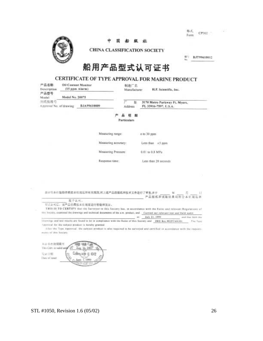| 格式   |       |  |
|------|-------|--|
| Form | CP302 |  |

![](_page_31_Picture_1.jpeg)

船级社 中 国

CHINA CLASSIFICATION SOCIETY

年<sup>1</sup> BJT99610012

## 船用产品型式认可证书

### CERTIFICATE OF TYPE APPROVAL FOR MARINE PRODUCT

| 产品名称<br>Description              | <b>Oil Content Monitor</b><br>(15 ppm Alarm)<br>Model No. 20075 |                                                                                                                                                                         | 制造厂名<br>H.F. Scientific, Inc.<br>Manufacturer |                                          |                                                        |                    |  |
|----------------------------------|-----------------------------------------------------------------|-------------------------------------------------------------------------------------------------------------------------------------------------------------------------|-----------------------------------------------|------------------------------------------|--------------------------------------------------------|--------------------|--|
| 产品型号<br>Model                    |                                                                 |                                                                                                                                                                         |                                               |                                          |                                                        |                    |  |
| 图纸提准号<br>Approval No. of drawing |                                                                 | BJA99610009                                                                                                                                                             | 坵<br>Address                                  |                                          | 3170 Metro Parkway Ft. Myers,<br>FL 33916-7597, U.S.A. |                    |  |
|                                  |                                                                 |                                                                                                                                                                         | <b>Particulars</b>                            |                                          |                                                        |                    |  |
|                                  | Measuring range:                                                |                                                                                                                                                                         |                                               | o to 30 ppm                              |                                                        |                    |  |
|                                  |                                                                 |                                                                                                                                                                         | Measuring accuracy:                           | Less than $\pm 5$ ppm<br>0.01 to 0.8 MPa |                                                        |                    |  |
|                                  |                                                                 |                                                                                                                                                                         | Measuring Pressure:                           |                                          |                                                        |                    |  |
|                                  |                                                                 | Response time:                                                                                                                                                          |                                               |                                          | Less than 20 seconds                                   |                    |  |
|                                  |                                                                 |                                                                                                                                                                         |                                               |                                          |                                                        |                    |  |
|                                  |                                                                 |                                                                                                                                                                         |                                               |                                          |                                                        |                    |  |
|                                  |                                                                 | 直计用本社验指得根进本社规范弟有关规则,时上述产品的图纸和技术文件进行了审查,非于                                                                                                                               |                                               |                                          |                                                        |                    |  |
|                                  | 足平认可。                                                           |                                                                                                                                                                         |                                               |                                          | 产品图纸和试验结果均用合本社规                                        |                    |  |
|                                  |                                                                 | 早天认可后,该产品仍需接本社规定进行检验和发证。                                                                                                                                                |                                               |                                          |                                                        |                    |  |
|                                  |                                                                 | THIS IS TO CERTIFY that the Surveyor to this Secrety has, in accordance with the Raies and rolevant Regulations of                                                      |                                               |                                          |                                                        |                    |  |
|                                  |                                                                 | This hociety, examined the drawings and technical decuments of the a.m. product, and  Carried out reterant test and field matter                                        |                                               |                                          |                                                        |                    |  |
|                                  |                                                                 |                                                                                                                                                                         | in to                                         | July 21, 1999                            |                                                        | and that birth the |  |
|                                  |                                                                 | Drawings and fest results are found to be in compliance with the Rules of this Society and 1860 Res. MEPC40(33)<br>(cannotal for the subject product is hereby granted. |                                               |                                          |                                                        | The Type           |  |
|                                  |                                                                 | After the Type Approval. the subject product is also tequined to be servated and certified is accordance with the require-                                              |                                               |                                          |                                                        |                    |  |
| ments of this Society.           |                                                                 |                                                                                                                                                                         |                                               |                                          |                                                        |                    |  |
|                                  |                                                                 |                                                                                                                                                                         |                                               |                                          |                                                        |                    |  |
|                                  |                                                                 |                                                                                                                                                                         |                                               |                                          |                                                        |                    |  |

本计书有效期限节 **Airris** 用船 This Cert, is valid until 22 Aug. 33, 2003 **Сфедий п стр** 院総目開 Their of issue  $1000$ 

K)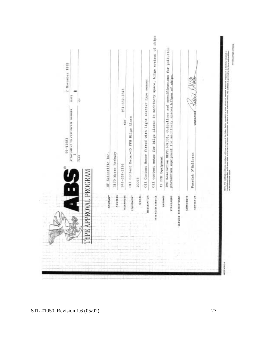| for bilge alarms in machinery space, bilge systems of<br>IMO Resolution MEPC.60(33), Guidelines and specifications for pollution<br>prevention equipment for machinery spaces bilges of ships<br>fitted with light scatter type sensor<br>941-332-7643<br>DATE<br>õ<br>٦<br>ATTACHMENT TO CERTIFICATE NUMBER<br>SIGNATURE<br>Oil Content Meter-15 PPM Bilge Alarm<br>×<br>3170 Metro Parkway<br>HF Scientific Inc.<br>Patrick O'Halloran<br>Oil content meter<br>Oil Content Meter<br>÷<br>PAGE<br>15 PPM Equipment<br>941-337-2116<br>APPROVAL PROGRAM<br>20075<br>SERVICE RESTRICTIONS<br>COMPANY<br>ADDRESS<br>TELEPHONE<br>tournerst<br>MODEL<br>DESCRIPTION<br>RATINGS<br><b>STANDARDS</b><br><b>COMMERTS</b><br><b>INTERDED SERVICE</b><br><b>BOAJABRS</b><br><b>Commercial</b><br><b>CONTRACTOR</b><br>and the second con- |              | 68911-66 | 2 November 1999 |
|-----------------------------------------------------------------------------------------------------------------------------------------------------------------------------------------------------------------------------------------------------------------------------------------------------------------------------------------------------------------------------------------------------------------------------------------------------------------------------------------------------------------------------------------------------------------------------------------------------------------------------------------------------------------------------------------------------------------------------------------------------------------------------------------------------------------------------------|--------------|----------|-----------------|
|                                                                                                                                                                                                                                                                                                                                                                                                                                                                                                                                                                                                                                                                                                                                                                                                                                   |              |          |                 |
|                                                                                                                                                                                                                                                                                                                                                                                                                                                                                                                                                                                                                                                                                                                                                                                                                                   |              |          |                 |
|                                                                                                                                                                                                                                                                                                                                                                                                                                                                                                                                                                                                                                                                                                                                                                                                                                   |              |          |                 |
|                                                                                                                                                                                                                                                                                                                                                                                                                                                                                                                                                                                                                                                                                                                                                                                                                                   |              |          |                 |
|                                                                                                                                                                                                                                                                                                                                                                                                                                                                                                                                                                                                                                                                                                                                                                                                                                   |              |          |                 |
|                                                                                                                                                                                                                                                                                                                                                                                                                                                                                                                                                                                                                                                                                                                                                                                                                                   |              |          |                 |
|                                                                                                                                                                                                                                                                                                                                                                                                                                                                                                                                                                                                                                                                                                                                                                                                                                   |              |          |                 |
|                                                                                                                                                                                                                                                                                                                                                                                                                                                                                                                                                                                                                                                                                                                                                                                                                                   |              |          |                 |
|                                                                                                                                                                                                                                                                                                                                                                                                                                                                                                                                                                                                                                                                                                                                                                                                                                   |              |          |                 |
|                                                                                                                                                                                                                                                                                                                                                                                                                                                                                                                                                                                                                                                                                                                                                                                                                                   |              |          |                 |
|                                                                                                                                                                                                                                                                                                                                                                                                                                                                                                                                                                                                                                                                                                                                                                                                                                   |              |          |                 |
|                                                                                                                                                                                                                                                                                                                                                                                                                                                                                                                                                                                                                                                                                                                                                                                                                                   | sented busi- |          |                 |
|                                                                                                                                                                                                                                                                                                                                                                                                                                                                                                                                                                                                                                                                                                                                                                                                                                   |              |          |                 |
|                                                                                                                                                                                                                                                                                                                                                                                                                                                                                                                                                                                                                                                                                                                                                                                                                                   | <b>WORK</b>  |          |                 |
|                                                                                                                                                                                                                                                                                                                                                                                                                                                                                                                                                                                                                                                                                                                                                                                                                                   |              |          |                 |
|                                                                                                                                                                                                                                                                                                                                                                                                                                                                                                                                                                                                                                                                                                                                                                                                                                   |              |          |                 |
|                                                                                                                                                                                                                                                                                                                                                                                                                                                                                                                                                                                                                                                                                                                                                                                                                                   |              |          |                 |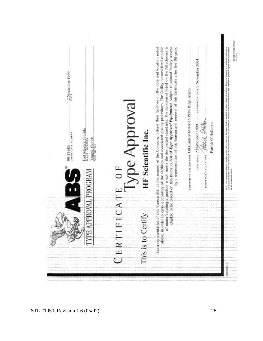| 2 November 1999<br>Fort Meyers, Florida<br>PLANT LOCATION<br>99-11683<br>сектисата кимва<br>Tampa, Florida<br>Port offici | Type Approval                                                     | order to carry out survey of the facilities and associated quality procedures. The facility is considered capable<br>manufacturing a product which meets the designated standards. The equipment listed on the Attachment is<br>that a representative of this Bureau did, at the request of the Company, attend their facilities on the date and location noted<br>edigible to be placed on this Bureau's Ltd of Type Approved Equipment, subject to annual facility surveys<br>by a representative of this Bureau and renewal of this Certificate after five (5) years. | expiration pate 2 November 2004<br>equipment pescurrion Oil Content Meter-15 PPM Bilge Alarm<br>Patrick O'Halloran<br>ISSUE DATE 2 NOVEmber 1999 | <b>RYTOR STORS-CTACO I</b> |
|---------------------------------------------------------------------------------------------------------------------------|-------------------------------------------------------------------|--------------------------------------------------------------------------------------------------------------------------------------------------------------------------------------------------------------------------------------------------------------------------------------------------------------------------------------------------------------------------------------------------------------------------------------------------------------------------------------------------------------------------------------------------------------------------|--------------------------------------------------------------------------------------------------------------------------------------------------|----------------------------|
| APPROVAL PROGRAM                                                                                                          | HF Scientific Inc.<br>$\overline{0}$<br>FICAT<br>This is to<br>ER | ă<br>above, in                                                                                                                                                                                                                                                                                                                                                                                                                                                                                                                                                           | ABAY PORT SHOWWERS SHOREWAY                                                                                                                      | <b>BOTTE</b> This is       |